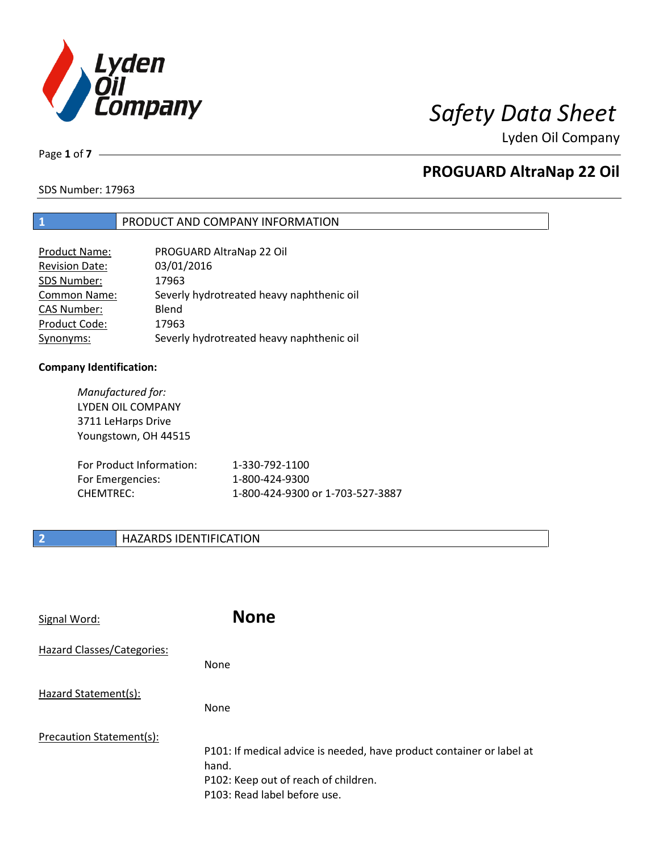

Lyden Oil Company

Page **1** of **7**

# **PROGUARD AltraNap 22 Oil**

SDS Number: 17963

### **1** PRODUCT AND COMPANY INFORMATION

| Product Name:         | PROGUARD AltraNap 22 Oil                  |
|-----------------------|-------------------------------------------|
| <b>Revision Date:</b> | 03/01/2016                                |
| SDS Number:           | 17963                                     |
| <b>Common Name:</b>   | Severly hydrotreated heavy naphthenic oil |
| <b>CAS Number:</b>    | Blend                                     |
| Product Code:         | 17963                                     |
| Synonyms:             | Severly hydrotreated heavy naphthenic oil |

### **Company Identification:**

| Manufactured for:<br>LYDEN OIL COMPANY<br>3711 LeHarps Drive<br>Youngstown, OH 44515 |                                  |
|--------------------------------------------------------------------------------------|----------------------------------|
| For Product Information:                                                             | 1-330-792-1100                   |
| For Emergencies:                                                                     | 1-800-424-9300                   |
| <b>CHEMTREC:</b>                                                                     | 1-800-424-9300 or 1-703-527-3887 |

# **2 HAZARDS IDENTIFICATION**

| Signal Word:               | <b>None</b>                                                                                                                                            |
|----------------------------|--------------------------------------------------------------------------------------------------------------------------------------------------------|
| Hazard Classes/Categories: | None                                                                                                                                                   |
| Hazard Statement(s):       | None                                                                                                                                                   |
| Precaution Statement(s):   | P101: If medical advice is needed, have product container or label at<br>hand.<br>P102: Keep out of reach of children.<br>P103: Read label before use. |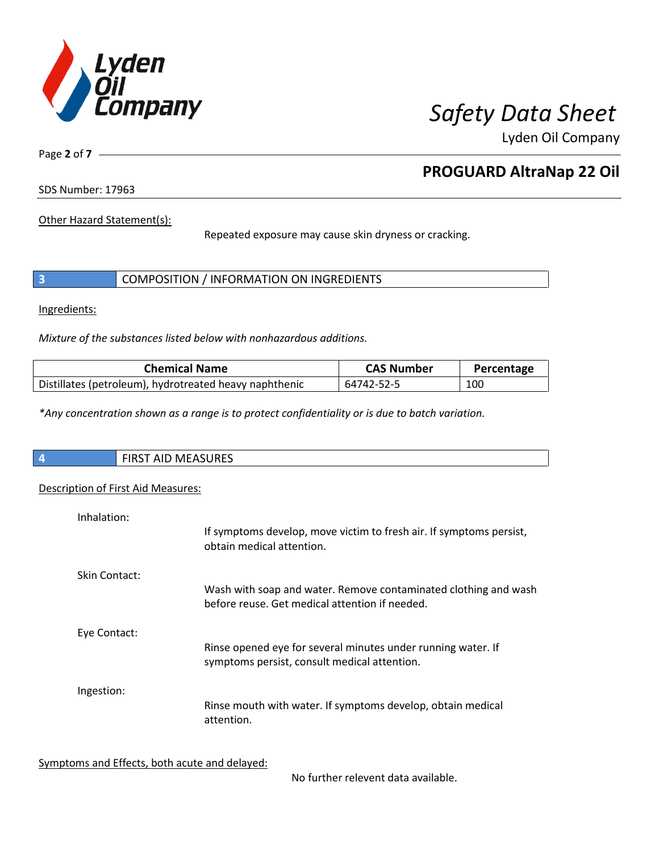

Lyden Oil Company

Page **2** of **7**

# **PROGUARD AltraNap 22 Oil**

SDS Number: 17963

Other Hazard Statement(s):

Repeated exposure may cause skin dryness or cracking.

|  | COMPOSITION / INFORMATION ON INGREDIENTS |  |
|--|------------------------------------------|--|
|--|------------------------------------------|--|

Ingredients:

*Mixture of the substances listed below with nonhazardous additions.*

| <b>Chemical Name</b>                                   | <b>CAS Number</b> | Percentage |
|--------------------------------------------------------|-------------------|------------|
| Distillates (petroleum), hydrotreated heavy naphthenic | 64742-52-5        | 100        |

*\*Any concentration shown as a range is to protect confidentiality or is due to batch variation.*

| $\overline{4}$ | ATACIDFC<br>$\mathbf{r}$<br>N<br>כאחטו<br>. .<br>$\cdots$ |
|----------------|-----------------------------------------------------------|
|                |                                                           |

# Description of First Aid Measures:

| Inhalation:   | If symptoms develop, move victim to fresh air. If symptoms persist,                                               |
|---------------|-------------------------------------------------------------------------------------------------------------------|
|               | obtain medical attention.                                                                                         |
| Skin Contact: |                                                                                                                   |
|               | Wash with soap and water. Remove contaminated clothing and wash<br>before reuse. Get medical attention if needed. |
| Eye Contact:  |                                                                                                                   |
|               | Rinse opened eye for several minutes under running water. If<br>symptoms persist, consult medical attention.      |
| Ingestion:    |                                                                                                                   |
|               | Rinse mouth with water. If symptoms develop, obtain medical<br>attention.                                         |

Symptoms and Effects, both acute and delayed:

No further relevent data available.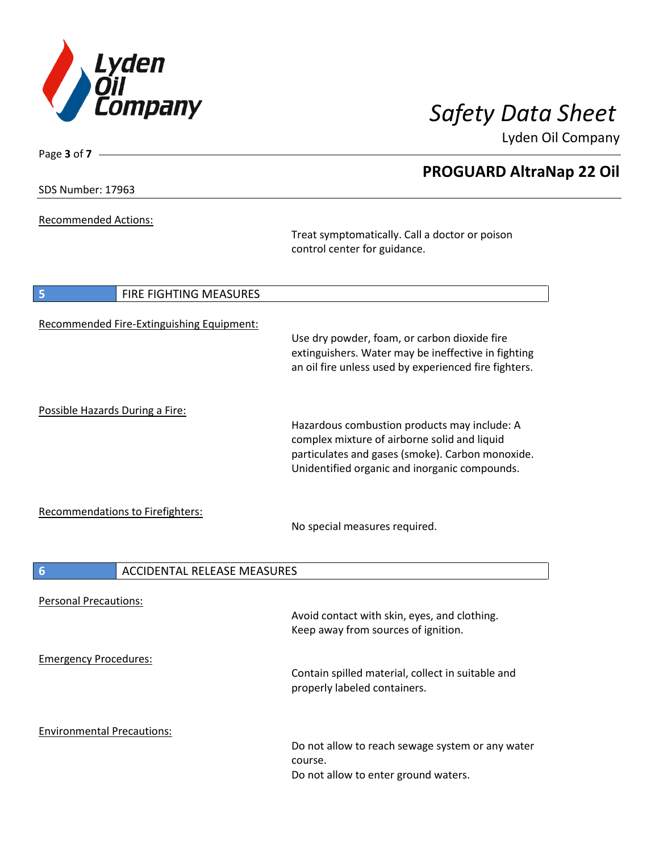

Lyden Oil Company

| SDS Number: 17963 |  |
|-------------------|--|
|-------------------|--|

Page **3** of **7**

Recommended Actions:

Treat symptomatically. Call a doctor or poison control center for guidance.

| 5                               | FIRE FIGHTING MEASURES                    |                                                                                                                                                                                                   |
|---------------------------------|-------------------------------------------|---------------------------------------------------------------------------------------------------------------------------------------------------------------------------------------------------|
|                                 | Recommended Fire-Extinguishing Equipment: | Use dry powder, foam, or carbon dioxide fire<br>extinguishers. Water may be ineffective in fighting<br>an oil fire unless used by experienced fire fighters.                                      |
| Possible Hazards During a Fire: |                                           | Hazardous combustion products may include: A<br>complex mixture of airborne solid and liquid<br>particulates and gases (smoke). Carbon monoxide.<br>Unidentified organic and inorganic compounds. |
|                                 | <b>Recommendations to Firefighters:</b>   | No special measures required.                                                                                                                                                                     |
| $6\phantom{1}6$                 | <b>ACCIDENTAL RELEASE MEASURES</b>        |                                                                                                                                                                                                   |
| <b>Personal Precautions:</b>    |                                           |                                                                                                                                                                                                   |
|                                 |                                           | Avoid contact with skin, eyes, and clothing.<br>Keep away from sources of ignition.                                                                                                               |
| <b>Emergency Procedures:</b>    |                                           | Contain spilled material, collect in suitable and<br>properly labeled containers.                                                                                                                 |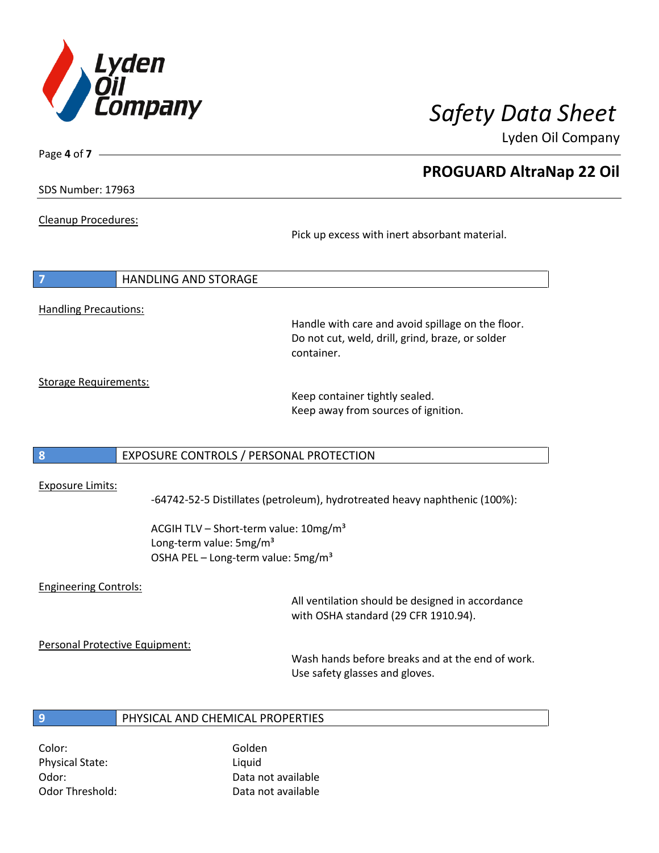

Lyden Oil Company

SDS Number: 17963

Page **4** of **7**

Cleanup Procedures:

Pick up excess with inert absorbant material.

| $\overline{7}$               | HANDLING AND STORAGE |
|------------------------------|----------------------|
|                              |                      |
| <b>Handling Precautions:</b> |                      |

Handle with care and avoid spillage on the floor. Do not cut, weld, drill, grind, braze, or solder container.

Storage Requirements:

Keep container tightly sealed. Keep away from sources of ignition.

### **8** EXPOSURE CONTROLS / PERSONAL PROTECTION

### Exposure Limits:

-64742-52-5 Distillates (petroleum), hydrotreated heavy naphthenic (100%):

ACGIH TLV - Short-term value: 10mg/m<sup>3</sup> Long-term value: 5mg/m<sup>3</sup> OSHA PEL – Long-term value: 5mg/m<sup>3</sup>

### Engineering Controls:

All ventilation should be designed in accordance with OSHA standard (29 CFR 1910.94).

Personal Protective Equipment:

Wash hands before breaks and at the end of work. Use safety glasses and gloves.

# **9** PHYSICAL AND CHEMICAL PROPERTIES

Color: Golden Physical State: Liquid

Odor: Data not available Odor Threshold: Data not available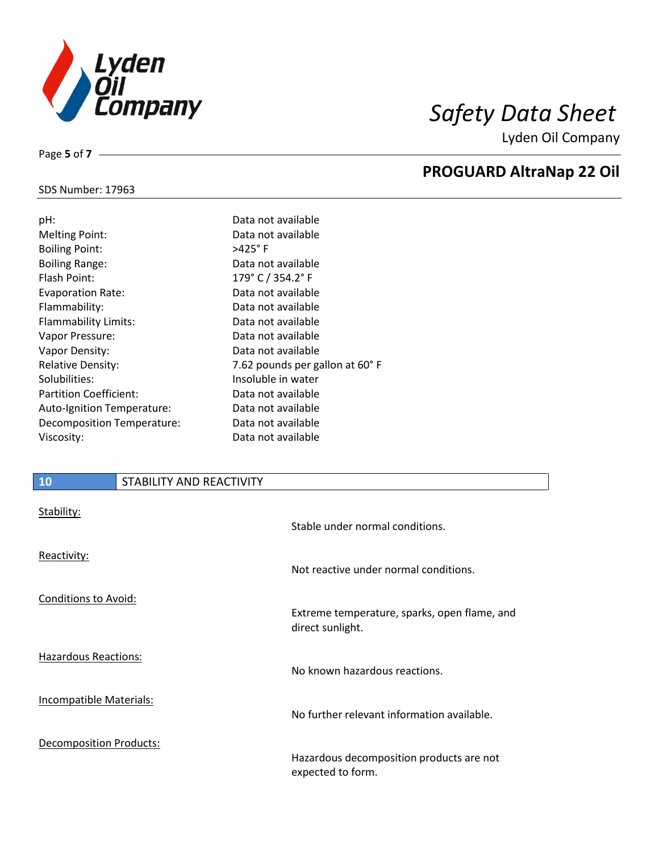

Lyden Oil Company

### SDS Number: 17963

Page **5** of **7**

| pH:                        | Data not available              |
|----------------------------|---------------------------------|
| <b>Melting Point:</b>      | Data not available              |
| <b>Boiling Point:</b>      | $>425^\circ$ F                  |
| <b>Boiling Range:</b>      | Data not available              |
| Flash Point:               | 179° C / 354.2° F               |
| <b>Evaporation Rate:</b>   | Data not available              |
| Flammability:              | Data not available              |
| Flammability Limits:       | Data not available              |
| Vapor Pressure:            | Data not available              |
| Vapor Density:             | Data not available              |
| <b>Relative Density:</b>   | 7.62 pounds per gallon at 60° F |
| Solubilities:              | Insoluble in water              |
| Partition Coefficient:     | Data not available              |
| Auto-Ignition Temperature: | Data not available              |
| Decomposition Temperature: | Data not available              |
| Viscosity:                 | Data not available              |
|                            |                                 |

# **10** STABILITY AND REACTIVITY

| Stability:                     | Stable under normal conditions.                                  |
|--------------------------------|------------------------------------------------------------------|
| Reactivity:                    | Not reactive under normal conditions.                            |
| <b>Conditions to Avoid:</b>    | Extreme temperature, sparks, open flame, and<br>direct sunlight. |
| <b>Hazardous Reactions:</b>    | No known hazardous reactions.                                    |
| <b>Incompatible Materials:</b> | No further relevant information available.                       |
| <b>Decomposition Products:</b> | Hazardous decomposition products are not<br>expected to form.    |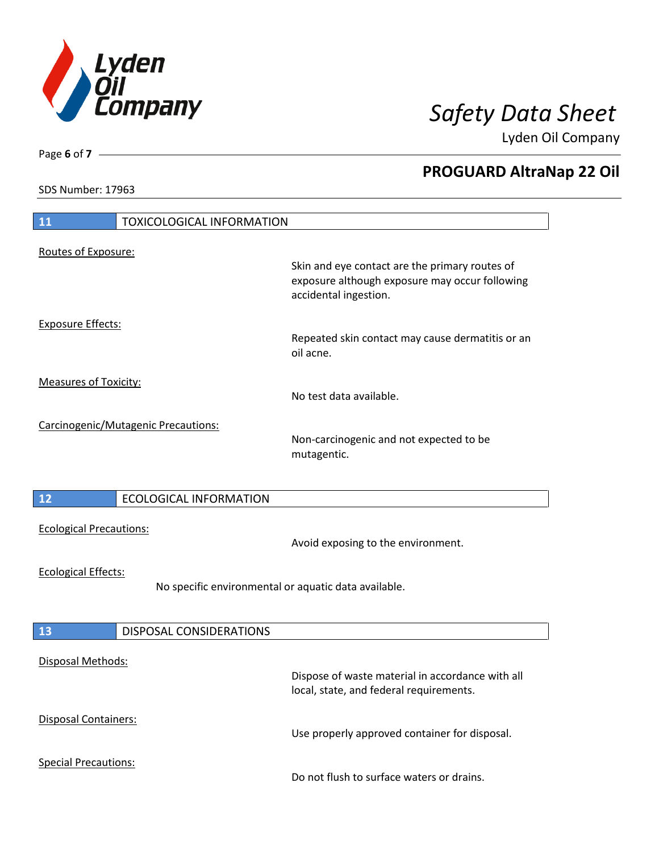

Lyden Oil Company

SDS Number: 17963

| $\boxed{11}$<br><b>TOXICOLOGICAL INFORMATION</b>                                   |                                                                                             |
|------------------------------------------------------------------------------------|---------------------------------------------------------------------------------------------|
| Routes of Exposure:                                                                | Skin and eye contact are the primary routes of                                              |
|                                                                                    | exposure although exposure may occur following<br>accidental ingestion.                     |
| <b>Exposure Effects:</b>                                                           |                                                                                             |
|                                                                                    | Repeated skin contact may cause dermatitis or an<br>oil acne.                               |
| <b>Measures of Toxicity:</b>                                                       | No test data available.                                                                     |
| Carcinogenic/Mutagenic Precautions:                                                |                                                                                             |
|                                                                                    | Non-carcinogenic and not expected to be<br>mutagentic.                                      |
|                                                                                    |                                                                                             |
| 12<br><b>ECOLOGICAL INFORMATION</b>                                                |                                                                                             |
| <b>Ecological Precautions:</b>                                                     | Avoid exposing to the environment.                                                          |
| <b>Ecological Effects:</b><br>No specific environmental or aquatic data available. |                                                                                             |
|                                                                                    |                                                                                             |
| 13<br>DISPOSAL CONSIDERATIONS                                                      |                                                                                             |
| Disposal Methods:                                                                  |                                                                                             |
|                                                                                    | Dispose of waste material in accordance with all<br>local, state, and federal requirements. |
| <b>Disposal Containers:</b>                                                        | Use properly approved container for disposal.                                               |
| <b>Special Precautions:</b>                                                        | Do not flush to surface waters or drains.                                                   |

Page **6** of **7**